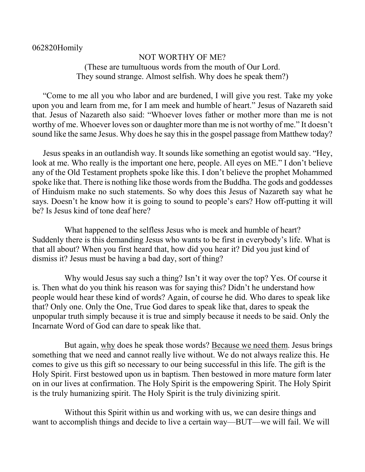## 062820Homily

## NOT WORTHY OF ME? (These are tumultuous words from the mouth of Our Lord. They sound strange. Almost selfish. Why does he speak them?)

"Come to me all you who labor and are burdened, I will give you rest. Take my yoke upon you and learn from me, for I am meek and humble of heart." Jesus of Nazareth said that. Jesus of Nazareth also said: "Whoever loves father or mother more than me is not worthy of me. Whoever loves son or daughter more than me is not worthy of me." It doesn't sound like the same Jesus. Why does he say this in the gospel passage from Matthew today?

Jesus speaks in an outlandish way. It sounds like something an egotist would say. "Hey, look at me. Who really is the important one here, people. All eyes on ME." I don't believe any of the Old Testament prophets spoke like this. I don't believe the prophet Mohammed spoke like that. There is nothing like those words from the Buddha. The gods and goddesses of Hinduism make no such statements. So why does this Jesus of Nazareth say what he says. Doesn't he know how it is going to sound to people's ears? How off-putting it will be? Is Jesus kind of tone deaf here?

What happened to the selfless Jesus who is meek and humble of heart? Suddenly there is this demanding Jesus who wants to be first in everybody's life. What is that all about? When you first heard that, how did you hear it? Did you just kind of dismiss it? Jesus must be having a bad day, sort of thing?

Why would Jesus say such a thing? Isn't it way over the top? Yes. Of course it is. Then what do you think his reason was for saying this? Didn't he understand how people would hear these kind of words? Again, of course he did. Who dares to speak like that? Only one. Only the One, True God dares to speak like that, dares to speak the unpopular truth simply because it is true and simply because it needs to be said. Only the Incarnate Word of God can dare to speak like that.

But again, why does he speak those words? Because we need them. Jesus brings something that we need and cannot really live without. We do not always realize this. He comes to give us this gift so necessary to our being successful in this life. The gift is the Holy Spirit. First bestowed upon us in baptism. Then bestowed in more mature form later on in our lives at confirmation. The Holy Spirit is the empowering Spirit. The Holy Spirit is the truly humanizing spirit. The Holy Spirit is the truly divinizing spirit.

Without this Spirit within us and working with us, we can desire things and want to accomplish things and decide to live a certain way—BUT—we will fail. We will